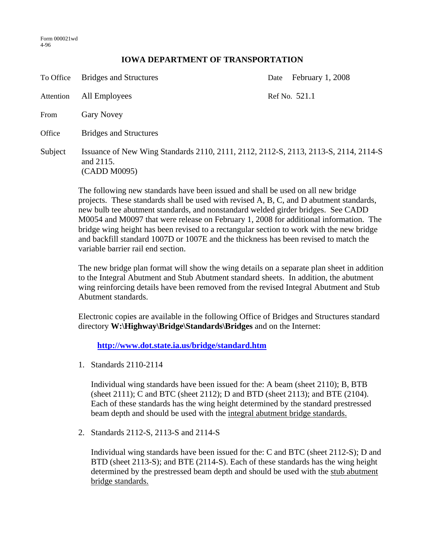## **IOWA DEPARTMENT OF TRANSPORTATION**

| To Office | <b>Bridges and Structures</b>                                                                                    | Date | February 1, 2008 |
|-----------|------------------------------------------------------------------------------------------------------------------|------|------------------|
| Attention | All Employees                                                                                                    |      | Ref No. 521.1    |
| From      | <b>Gary Novey</b>                                                                                                |      |                  |
| Office    | <b>Bridges and Structures</b>                                                                                    |      |                  |
| Subject   | Issuance of New Wing Standards 2110, 2111, 2112, 2112-S, 2113, 2113-S, 2114, 2114-S<br>and 2115.<br>(CADD M0095) |      |                  |

The following new standards have been issued and shall be used on all new bridge projects. These standards shall be used with revised A, B, C, and D abutment standards, new bulb tee abutment standards, and nonstandard welded girder bridges. See CADD M0054 and M0097 that were release on February 1, 2008 for additional information. The bridge wing height has been revised to a rectangular section to work with the new bridge and backfill standard 1007D or 1007E and the thickness has been revised to match the variable barrier rail end section.

The new bridge plan format will show the wing details on a separate plan sheet in addition to the Integral Abutment and Stub Abutment standard sheets. In addition, the abutment wing reinforcing details have been removed from the revised Integral Abutment and Stub Abutment standards.

Electronic copies are available in the following Office of Bridges and Structures standard directory **W:\Highway\Bridge\Standards\Bridges** and on the Internet:

**http://www.dot.state.ia.us/bridge/standard.htm**

1. Standards 2110-2114

Individual wing standards have been issued for the: A beam (sheet 2110); B, BTB (sheet 2111); C and BTC (sheet 2112); D and BTD (sheet 2113); and BTE (2104). Each of these standards has the wing height determined by the standard prestressed beam depth and should be used with the integral abutment bridge standards.

2. Standards 2112-S, 2113-S and 2114-S

Individual wing standards have been issued for the: C and BTC (sheet 2112-S); D and BTD (sheet 2113-S); and BTE (2114-S). Each of these standards has the wing height determined by the prestressed beam depth and should be used with the stub abutment bridge standards.